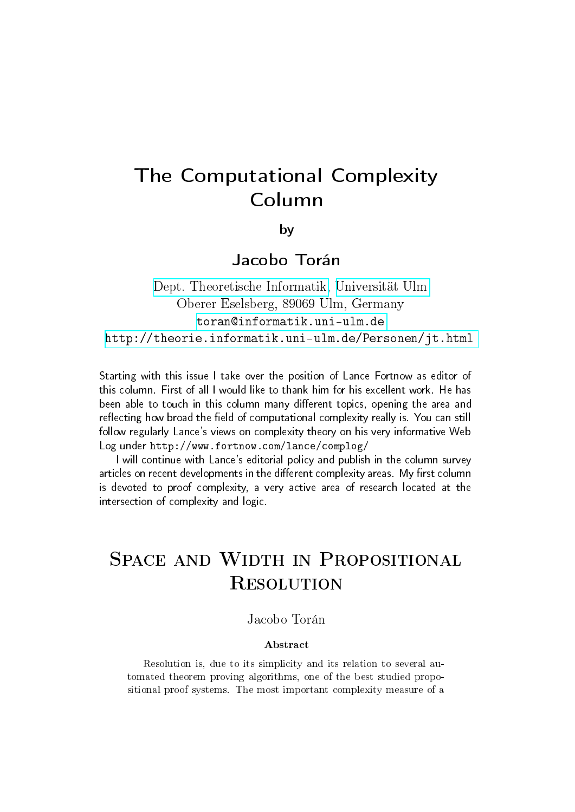# The Computational Complexity Column

by

Jacobo Torán

[Dept. Theoretische Informatik,](http://informatik.uni-ulm.de) [Universität Ulm](http://www.uni-ulm.de) Oberer Eselsberg, 89069 Ulm, Germany <toran@informatik.uni-ulm.de> <http://theorie.informatik.uni-ulm.de/Personen/jt.html>

Starting with this issue I take over the position of Lance Fortnow as editor of this column. First of all I would like to thank him for his excellent work. He has been able to touch in this column many different topics, opening the area and reflecting how broad the field of computational complexity really is. You can still follow regularly Lance's views on complexity theory on his very informative Web Log under http://www.fortnow.com/lance/complog/

I will continue with Lance's editorial policy and publish in the column survey articles on recent developments in the different complexity areas. My first column is devoted to proof complexity, a very active area of research located at the intersection of complexity and logic.

# SPACE AND WIDTH IN PROPOSITIONAL **RESOLUTION**

### Jacobo Torán

#### Abstract

Resolution is, due to its simplicity and its relation to several automated theorem proving algorithms, one of the best studied propositional proof systems. The most important complexity measure of a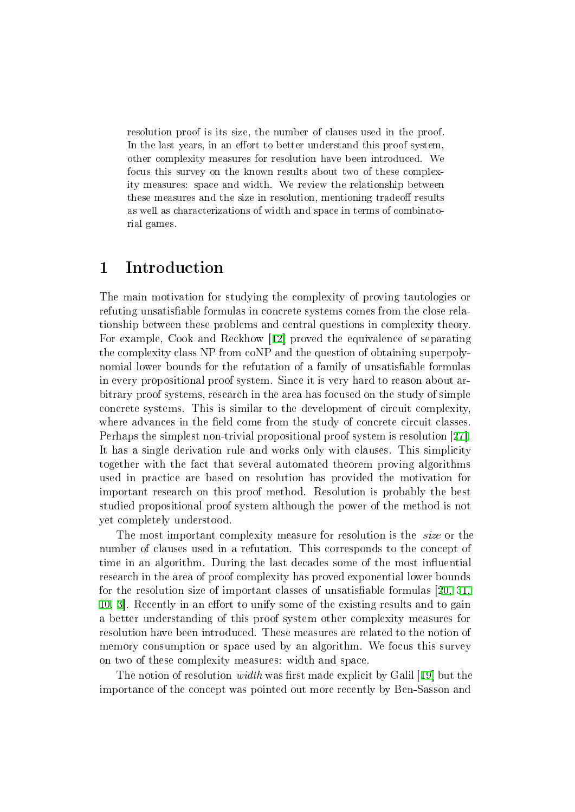resolution proof is its size, the number of clauses used in the proof. In the last years, in an effort to better understand this proof system, other complexity measures for resolution have been introduced. We focus this survey on the known results about two of these complexity measures: space and width. We review the relationship between these measures and the size in resolution, mentioning tradeoff results as well as characterizations of width and space in terms of combinatorial games.

# 1 Introduction

The main motivation for studying the complexity of proving tautologies or refuting unsatisfiable formulas in concrete systems comes from the close relationship between these problems and central questions in complexity theory. For example, Cook and Reckhow [[12\]](#page-18-0) proved the equivalence of separating the complexity class NP from coNP and the question of obtaining superpolynomial lower bounds for the refutation of a family of unsatisfiable formulas in every propositional proof system. Since it is very hard to reason about arbitrary proof systems, research in the area has focused on the study of simple concrete systems. This is similar to the development of circuit complexity, where advances in the field come from the study of concrete circuit classes. Perhaps the simplest non-trivial propositional proof system is resolution [[27\].](#page-19-0) It has a single derivation rule and works only with clauses. This simplicity together with the fact that several automated theorem proving algorithms used in practice are based on resolution has provided the motivation for important research on this proof method. Resolution is probably the best studied propositional proof system although the power of the method is not yet completely understood.

The most important complexity measure for resolution is the *size* or the number of clauses used in a refutation. This corresponds to the concept of time in an algorithm. During the last decades some of the most influential research in the area of proof complexity has proved exponential lower bounds for the resolution size of important classes of unsatisfiable formulas  $[20, 31]$  $[20, 31]$  $[20, 31]$ , [10,](#page-18-1) [3](#page-18-2). Recently in an effort to unify some of the existing results and to gain a better understanding of this proof system other complexity measures for resolution have been introduced. These measures are related to the notion of memory consumption or space used by an algorithm. We focus this survey on two of these complexity measures: width and space.

The notion of resolution *width* was first made explicit by Galil [[19\]](#page-19-2) but the importance of the concept was pointed out more recently by Ben-Sasson and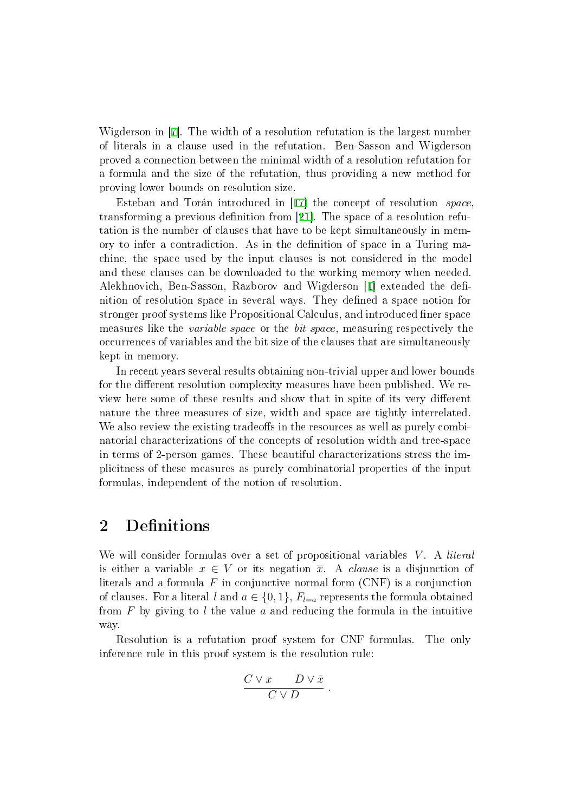Wigderson in [[7\]](#page-18-3). The width of a resolution refutation is the largest number of literals in a clause used in the refutation. Ben-Sasson and Wigderson proved a connection between the minimal width of a resolution refutation for a formula and the size of the refutation, thus providing a new method for proving lower bounds on resolution size.

Esteban and Torán introduced in [[17\]](#page-19-3) the concept of resolution space, transforming a previous definition from [[21\]](#page-19-4). The space of a resolution refutation is the number of clauses that have to be kept simultaneously in memory to infer a contradiction. As in the definition of space in a Turing machine, the space used by the input clauses is not considered in the model and these clauses can be downloaded to the working memory when needed. Alekhnovich, Ben-Sasson, Razborov and Wigderson [[1\]](#page-18-4) extended the definition of resolution space in several ways. They dened a space notion for stronger proof systems like Propositional Calculus, and introduced finer space measures like the variable space or the bit space, measuring respectively the occurrences of variables and the bit size of the clauses that are simultaneously kept in memory.

In recent years several results obtaining non-trivial upper and lower bounds for the different resolution complexity measures have been published. We review here some of these results and show that in spite of its very different nature the three measures of size, width and space are tightly interrelated. We also review the existing tradeoffs in the resources as well as purely combinatorial characterizations of the concepts of resolution width and tree-space in terms of 2-person games. These beautiful characterizations stress the implicitness of these measures as purely combinatorial properties of the input formulas, independent of the notion of resolution.

# 2 Definitions

We will consider formulas over a set of propositional variables  $V$ . A *literal* is either a variable  $x \in V$  or its negation  $\overline{x}$ . A *clause* is a disjunction of literals and a formula  $F$  in conjunctive normal form  $(CNF)$  is a conjunction of clauses. For a literal l and  $a \in \{0, 1\}$ ,  $F_{l=a}$  represents the formula obtained from  $F$  by giving to l the value a and reducing the formula in the intuitive way.

Resolution is a refutation proof system for CNF formulas. The only inference rule in this proof system is the resolution rule:

$$
\frac{C\vee x\qquad D\vee \bar x}{C\vee D}\;.
$$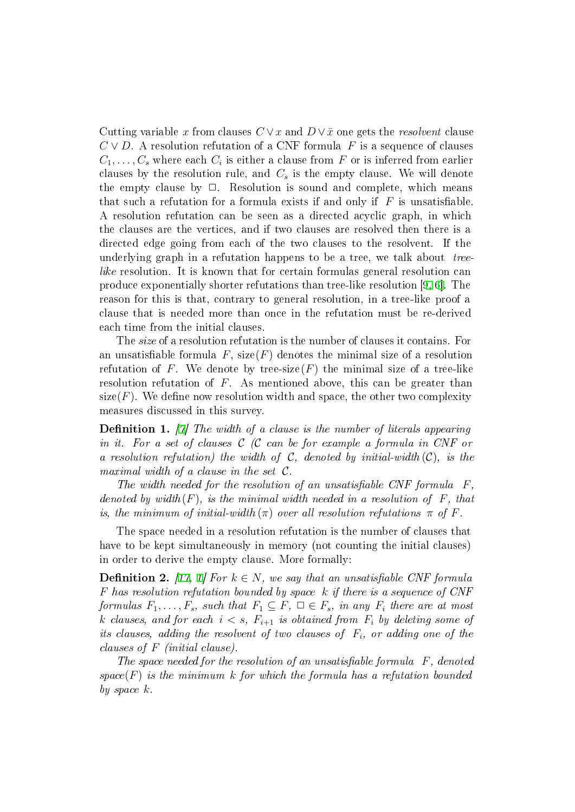Cutting variable x from clauses  $C \vee x$  and  $D \vee \bar{x}$  one gets the *resolvent* clause  $C \vee D$ . A resolution refutation of a CNF formula F is a sequence of clauses  $C_1, \ldots, C_s$  where each  $C_i$  is either a clause from  $F$  or is inferred from earlier clauses by the resolution rule, and  $C_s$  is the empty clause. We will denote the empty clause by  $\Box$ . Resolution is sound and complete, which means that such a refutation for a formula exists if and only if  $F$  is unsatisfiable. A resolution refutation can be seen as a directed acyclic graph, in which the clauses are the vertices, and if two clauses are resolved then there is a directed edge going from each of the two clauses to the resolvent. If the underlying graph in a refutation happens to be a tree, we talk about *tree*like resolution. It is known that for certain formulas general resolution can produce exponentially shorter refutations than tree-like resolution [[9,](#page-18-5) [6\].](#page-18-6) The reason for this is that, contrary to general resolution, in a tree-like proof a clause that is needed more than once in the refutation must be re-derived each time from the initial clauses.

The size of a resolution refutation is the number of clauses it contains. For an unsatisfiable formula F,  $size(F)$  denotes the minimal size of a resolution refutation of F. We denote by tree-size  $(F)$  the minimal size of a tree-like resolution refutation of F. As mentioned above, this can be greater than size( $F$ ). We define now resolution width and space, the other two complexity measures discussed in this survey.

**Definition 1.** [\[7](#page-18-3)] The width of a clause is the number of literals appearing in it. For a set of clauses  $C$  (C can be for example a formula in CNF or a resolution refutation) the width of  $C$ , denoted by initial-width  $(C)$ , is the maximal width of a clause in the set  $C$ .

The width needed for the resolution of an unsatisfiable CNF formula  $F$ , denoted by width(F), is the minimal width needed in a resolution of  $F$ , that is, the minimum of initial-width  $(\pi)$  over all resolution refutations  $\pi$  of F.

The space needed in a resolution refutation is the number of clauses that have to be kept simultaneously in memory (not counting the initial clauses) in order to derive the empty clause. More formally:

<span id="page-3-0"></span>**Definition 2.** [\[17](#page-19-3), [1\]](#page-18-4) For  $k \in N$ , we say that an unsatisfiable CNF formula F has resolution refutation bounded by space k if there is a sequence of CNF formulas  $F_1, \ldots, F_s$ , such that  $F_1 \subseteq F$ ,  $\Box \in F_s$ , in any  $F_i$  there are at most k clauses, and for each  $i < s$ ,  $F_{i+1}$  is obtained from  $F_i$  by deleting some of its clauses, adding the resolvent of two clauses of  $F_i$ , or adding one of the clauses of F (initial clause).

The space needed for the resolution of an unsatisfiable formula  $F$ , denoted space( $F$ ) is the minimum k for which the formula has a refutation bounded by space k.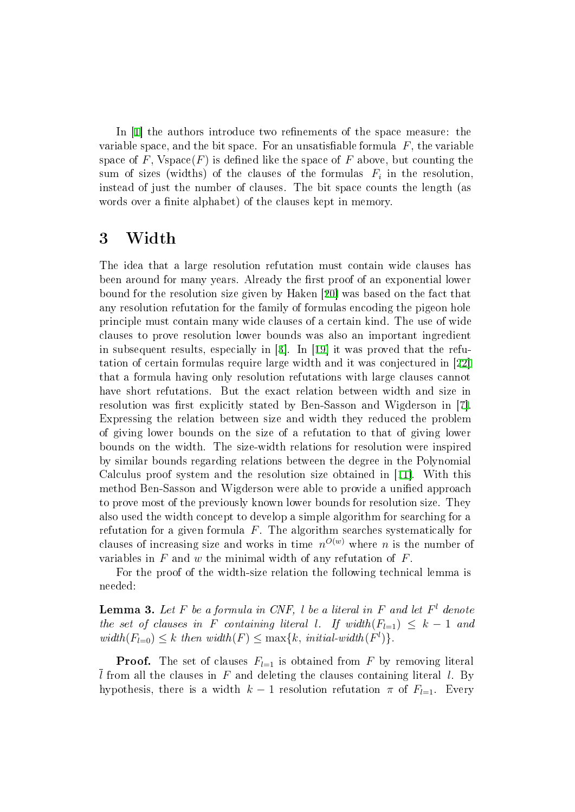In  $[1]$  the authors introduce two refinements of the space measure: the variable space, and the bit space. For an unsatisfiable formula  $F$ , the variable space of F,  $Vspace(F)$  is defined like the space of F above, but counting the sum of sizes (widths) of the clauses of the formulas  $\,F_i\,$  in the resolution, instead of just the number of clauses. The bit space counts the length (as words over a finite alphabet) of the clauses kept in memory.

### <span id="page-4-1"></span>3 Width

The idea that a large resolution refutation must contain wide clauses has been around for many years. Already the first proof of an exponential lower bound for the resolution size given by Haken [[20\]](#page-19-1) was based on the fact that any resolution refutation for the family of formulas encoding the pigeon hole principle must contain many wide clauses of a certain kind. The use of wide clauses to prove resolution lower bounds was also an important ingredient in subsequent results, especially in [[3\]](#page-18-2). In [[19\]](#page-19-2) it was proved that the refutation of certain formulas require large width and it was conjectured in [[22\]](#page-19-5) that a formula having only resolution refutations with large clauses cannot have short refutations. But the exact relation between width and size in resolution was first explicitly stated by Ben-Sasson and Wigderson in [[7\].](#page-18-3) Expressing the relation between size and width they reduced the problem of giving lower bounds on the size of a refutation to that of giving lower bounds on the width. The size-width relations for resolution were inspired by similar bounds regarding relations between the degree in the Polynomial Calculus proof system and the resolution size obtained in [[11\]](#page-18-7). With this method Ben-Sasson and Wigderson were able to provide a unified approach to prove most of the previously known lower bounds for resolution size. They also used the width concept to develop a simple algorithm for searching for a refutation for a given formula  $F$ . The algorithm searches systematically for clauses of increasing size and works in time  $n^{O(w)}$  where n is the number of variables in  $F$  and  $w$  the minimal width of any refutation of  $F$ .

For the proof of the width-size relation the following technical lemma is needed:

<span id="page-4-0"></span>**Lemma 3.** Let F be a formula in CNF, l be a literal in F and let  $F<sup>l</sup>$  denote the set of clauses in F containing literal l. If width $(F_{l=1}) \leq k-1$  and  $width(F_{l=0}) \leq k$  then  $width(F) \leq max\{k, initial-width(F^l)\}.$ 

**Proof.** The set of clauses  $F_{l=1}$  is obtained from F by removing literal  $\overline{l}$  from all the clauses in F and deleting the clauses containing literal l. By hypothesis, there is a width  $k-1$  resolution refutation  $\pi$  of  $F_{l=1}$ . Every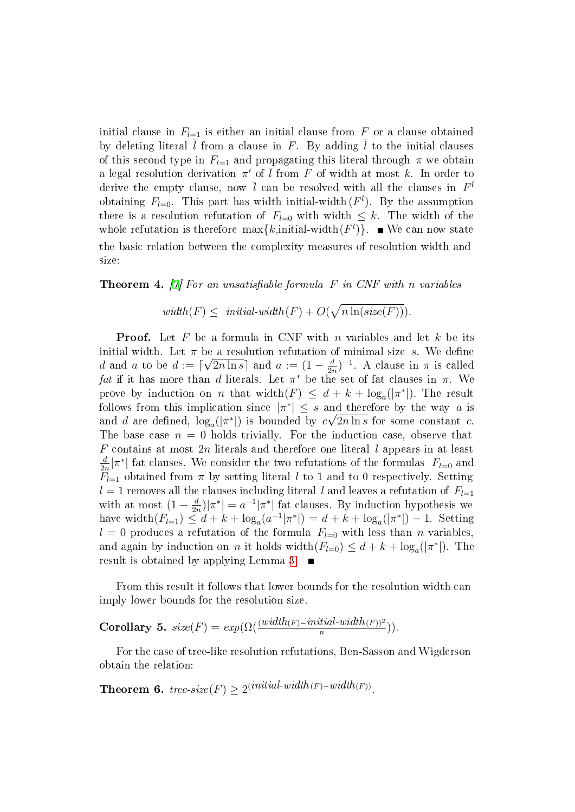initial clause in  $F_{l=1}$  is either an initial clause from F or a clause obtained by deleting literal  $\bar{l}$  from a clause in F. By adding  $\bar{l}$  to the initial clauses of this second type in  $F_{l=1}$  and propagating this literal through  $\pi$  we obtain a legal resolution derivation  $\pi'$  of  $\overline{l}$  from  $F$  of width at most  $k$ . In order to derive the empty clause, now  $\overline{l}$  can be resolved with all the clauses in  $F^l$ obtaining  $F_{l=0}$ . This part has width initial-width  $(F<sup>l</sup>)$ . By the assumption there is a resolution refutation of  $F_{l=0}$  with width  $\leq k$ . The width of the whole refutation is therefore  $\max\{k, \text{initial-width}(F^l)\}\$ . We can now state the basic relation between the complexity measures of resolution width and size:

<span id="page-5-0"></span>**Theorem 4.** [[7\]](#page-18-3) For an unsatisfiable formula F in CNF with n variables

 $width(F) \leq initial-width(F) + O(\sqrt{n \ln(size(F))}).$ 

**Proof.** Let F be a formula in CNF with n variables and let k be its initial width. Let  $\pi$  be a resolution refutation of minimal size s. We define  $\frac{d}{2n}$ )<sup>-1</sup>. A clause in  $\pi$  is called d and a to be  $d := \lceil \sqrt{2n \ln s} \rceil$  and  $a := (1 - \frac{d}{2a})$ *fat* if it has more than d literals. Let  $\pi^*$  be the set of fat clauses in  $\pi$ . We prove by induction on *n* that width $(F) \leq d + k + \log_a(|\pi^*|)$ . The result follows from this implication since  $|\pi^*| \leq s$  and therefore by the way a is and d are defined,  $\log_a(|\pi^*|)$  is bounded by  $c\sqrt{2n\ln s}$  for some constant c. The base case  $n = 0$  holds trivially. For the induction case, observe that  $F$  contains at most  $2n$  literals and therefore one literal  $l$  appears in at least  $\frac{d}{2n}|\pi^*|$  fat clauses. We consider the two refutations of the formulas  $F_{l=0}$  and d  $F_{l=1}$  obtained from  $\pi$  by setting literal l to 1 and to 0 respectively. Setting  $l = 1$  removes all the clauses including literal l and leaves a refutation of  $F_{l=1}$ with at most  $(1 - \frac{d}{2r})$  $\frac{d}{2n}$ )| $\pi^*$ | =  $a^{-1}|\pi^*|$  fat clauses. By induction hypothesis we have width $(F_{l=1}) \leq d + k + \log_a(a^{-1}|\pi^*|) = d + k + \log_a(|\pi^*|) - 1$ . Setting  $l = 0$  produces a refutation of the formula  $F_{l=0}$  with less than n variables, and again by induction on *n* it holds width $(F_{l=0}) \leq d + k + \log_a(|\pi^*|)$ . The result is obtained by applying Lemma [3.](#page-4-0)  $\blacksquare$ 

From this result it follows that lower bounds for the resolution width can imply lower bounds for the resolution size.

Corollary 5.  $size(F) = exp(\Omega(\frac{(width(F) - initial - width(F))^2}{n}))$ .

For the case of tree-like resolution refutations, Ben-Sasson and Wigderson obtain the relation:

<span id="page-5-1"></span>Theorem 6. tree-size(F)  $\geq 2^{(initial\cdot width(F)-width(F))}$ .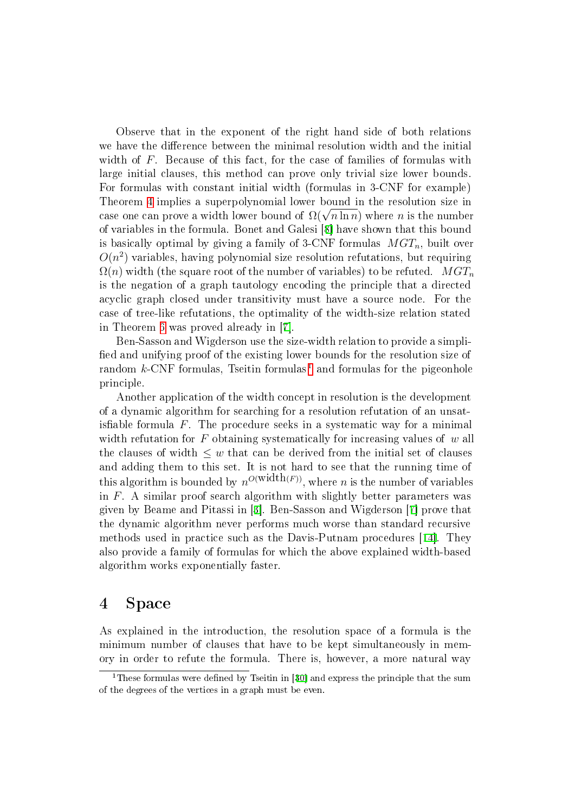Observe that in the exponent of the right hand side of both relations we have the difference between the minimal resolution width and the initial width of F. Because of this fact, for the case of families of formulas with large initial clauses, this method can prove only trivial size lower bounds. For formulas with constant initial width (formulas in 3-CNF for example) Theorem [4](#page-5-0) implies a superpolynomial lower bound in the resolution size in Theorem 4 implies a superpolynomial lower bound in the resolution size in case one can prove a width lower bound of  $\Omega(\sqrt{n\ln n})$  where *n* is the number of variables in the formula. Bonet and Galesi [[8\]](#page-18-8) have shown that this bound is basically optimal by giving a family of 3-CNF formulas  $MGT_n$ , built over  $O(n^2)$  variables, having polynomial size resolution refutations, but requiring  $\Omega(n)$  width (the square root of the number of variables) to be refuted.  $MGT_n$ is the negation of a graph tautology encoding the principle that a directed acyclic graph closed under transitivity must have a source node. For the case of tree-like refutations, the optimality of the width-size relation stated in Theorem [6](#page-5-1) was proved already in [[7\]](#page-18-3).

Ben-Sasson and Wigderson use the size-width relation to provide a simpli fied and unifying proof of the existing lower bounds for the resolution size of random  $k$ -CNF formulas, Tseitin formulas<sup>[1](#page-6-0)</sup> and formulas for the pigeonhole principle.

Another application of the width concept in resolution is the development of a dynamic algorithm for searching for a resolution refutation of an unsatis fiable formula  $F$ . The procedure seeks in a systematic way for a minimal width refutation for  $F$  obtaining systematically for increasing values of  $w$  all the clauses of width  $\leq w$  that can be derived from the initial set of clauses and adding them to this set. It is not hard to see that the running time of this algorithm is bounded by  $n^{O(\text{width}(F))}$ , where *n* is the number of variables in  $F$ . A similar proof search algorithm with slightly better parameters was given by Beame and Pitassi in [[3\]](#page-18-2). Ben-Sasson and Wigderson [[7\]](#page-18-3) prove that the dynamic algorithm never performs much worse than standard recursive methods used in practice such as the Davis-Putnam procedures [[14\]](#page-19-6). They also provide a family of formulas for which the above explained width-based algorithm works exponentially faster.

### 4 Space

As explained in the introduction, the resolution space of a formula is the minimum number of clauses that have to be kept simultaneously in memory in order to refute the formula. There is, however, a more natural way

<span id="page-6-0"></span> $1$ These formulas were defined by Tseitin in [[30\]](#page-19-7) and express the principle that the sum of the degrees of the vertices in a graph must be even.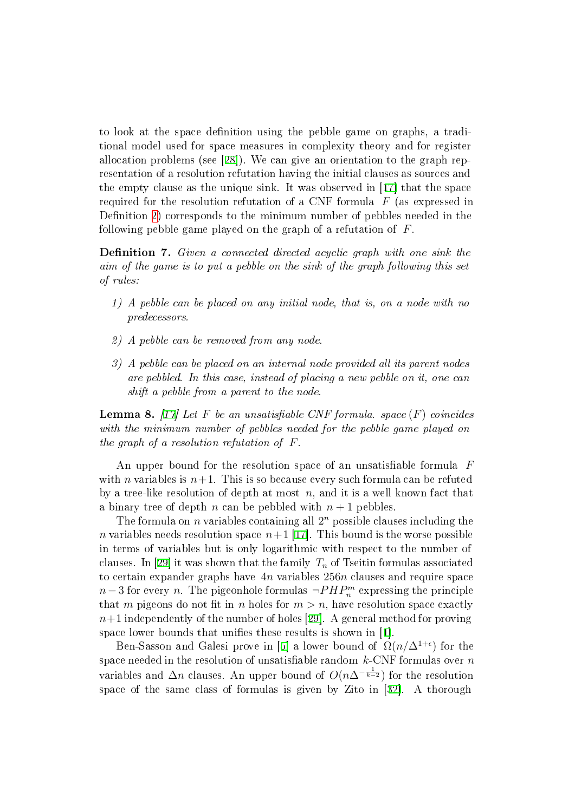to look at the space denition using the pebble game on graphs, a traditional model used for space measures in complexity theory and for register allocation problems (see [[28\]](#page-19-8)). We can give an orientation to the graph representation of a resolution refutation having the initial clauses as sources and the empty clause as the unique sink. It was observed in [[17\]](#page-19-3) that the space required for the resolution refutation of a CNF formula  $F$  (as expressed in Definition [2\)](#page-3-0) corresponds to the minimum number of pebbles needed in the following pebble game played on the graph of a refutation of F.

**Definition 7.** Given a connected directed acyclic graph with one sink the aim of the game is to put a pebble on the sink of the graph following this set of rules:

- 1) A pebble can be placed on any initial node, that is, on a node with no predecessors.
- 2) A pebble can be removed from any node.
- 3) A pebble can be placed on an internal node provided all its parent nodes are pebbled. In this case, instead of placing a new pebble on it, one can shift a pebble from a parent to the node.

**Lemma 8.** [\[17](#page-19-3)] Let F be an unsatisfiable CNF formula. space  $(F)$  coincides with the minimum number of pebbles needed for the pebble game played on the graph of a resolution refutation of F.

An upper bound for the resolution space of an unsatisfiable formula  $F$ with *n* variables is  $n+1$ . This is so because every such formula can be refuted by a tree-like resolution of depth at most  $n$ , and it is a well known fact that a binary tree of depth n can be pebbled with  $n + 1$  pebbles.

The formula on  $n$  variables containing all  $2^n$  possible clauses including the *n* variables needs resolution space  $n+1$  [\[17\]](#page-19-3). This bound is the worse possible in terms of variables but is only logarithmic with respect to the number of clauses. In [[29\]](#page-19-9) it was shown that the family  $T_n$  of Tseitin formulas associated to certain expander graphs have  $4n$  variables  $256n$  clauses and require space  $n-3$  for every n. The pigeonhole formulas  $\neg PHP_n^m$  expressing the principle that m pigeons do not fit in n holes for  $m > n$ , have resolution space exactly  $n+1$  independently of the number of holes [[29\]](#page-19-9). A general method for proving space lower bounds that unifies these results is shown in [[1\]](#page-18-4).

Ben-Sasson and Galesi prove in [[5\]](#page-18-9) a lower bound of  $\Omega(n/\Delta^{1+\epsilon})$  for the space needed in the resolution of unsatisfiable random  $k$ -CNF formulas over  $n$ variables and  $\Delta n$  clauses. An upper bound of  $O(n\Delta^{-\frac{1}{k-2}})$  for the resolution space of the same class of formulas is given by Zito in [[32\]](#page-20-1). A thorough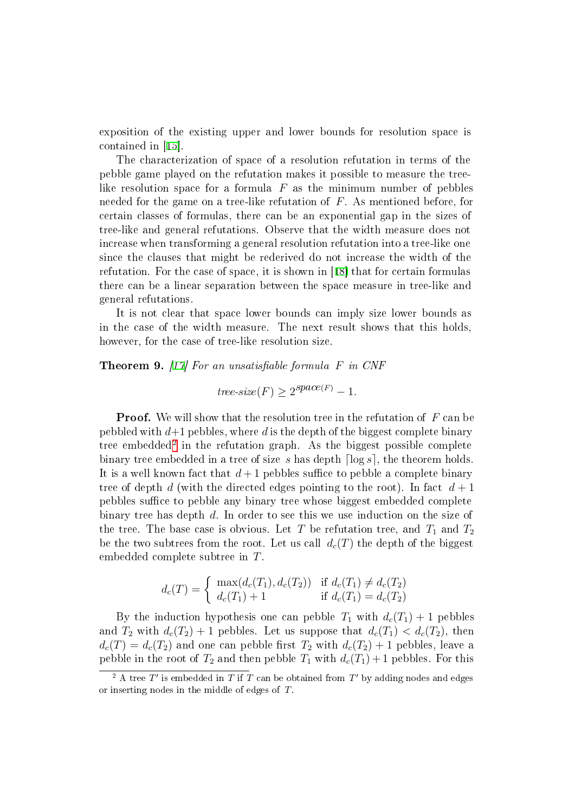exposition of the existing upper and lower bounds for resolution space is contained in [[15\]](#page-19-10).

The characterization of space of a resolution refutation in terms of the pebble game played on the refutation makes it possible to measure the treelike resolution space for a formula  $F$  as the minimum number of pebbles needed for the game on a tree-like refutation of F. As mentioned before, for certain classes of formulas, there can be an exponential gap in the sizes of tree-like and general refutations. Observe that the width measure does not increase when transforming a general resolution refutation into a tree-like one since the clauses that might be rederived do not increase the width of the refutation. For the case of space, it is shown in [[18\]](#page-19-11) that for certain formulas there can be a linear separation between the space measure in tree-like and general refutations.

It is not clear that space lower bounds can imply size lower bounds as in the case of the width measure. The next result shows that this holds, however, for the case of tree-like resolution size.

<span id="page-8-1"></span>**Theorem 9.** [[17\]](#page-19-3) For an unsatisfiable formula  $F$  in CNF

 $tree-size(F) \geq 2^{space(F)} - 1.$ 

**Proof.** We will show that the resolution tree in the refutation of F can be pebbled with  $d+1$  pebbles, where d is the depth of the biggest complete binary tree embedded<sup>[2](#page-8-0)</sup> in the refutation graph. As the biggest possible complete binary tree embedded in a tree of size s has depth  $\lceil \log s \rceil$ , the theorem holds. It is a well known fact that  $d+1$  pebbles suffice to pebble a complete binary tree of depth d (with the directed edges pointing to the root). In fact  $d+1$ pebbles suffice to pebble any binary tree whose biggest embedded complete binary tree has depth d. In order to see this we use induction on the size of the tree. The base case is obvious. Let T be refutation tree, and  $T_1$  and  $T_2$ be the two subtrees from the root. Let us call  $d_c(T)$  the depth of the biggest embedded complete subtree in T.

$$
d_c(T) = \begin{cases} \max(d_c(T_1), d_c(T_2)) & \text{if } d_c(T_1) \neq d_c(T_2) \\ d_c(T_1) + 1 & \text{if } d_c(T_1) = d_c(T_2) \end{cases}
$$

By the induction hypothesis one can pebble  $T_1$  with  $d_c(T_1) + 1$  pebbles and  $T_2$  with  $d_c(T_2) + 1$  pebbles. Let us suppose that  $d_c(T_1) < d_c(T_2)$ , then  $d_c(T) = d_c(T_2)$  and one can pebble first  $T_2$  with  $d_c(T_2) + 1$  pebbles, leave a pebble in the root of  $T_2$  and then pebble  $T_1$  with  $d_c(T_1) + 1$  pebbles. For this

<span id="page-8-0"></span><sup>&</sup>lt;sup>2</sup> A tree  $T'$  is embedded in  $T$  if  $T$  can be obtained from  $T'$  by adding nodes and edges or inserting nodes in the middle of edges of T.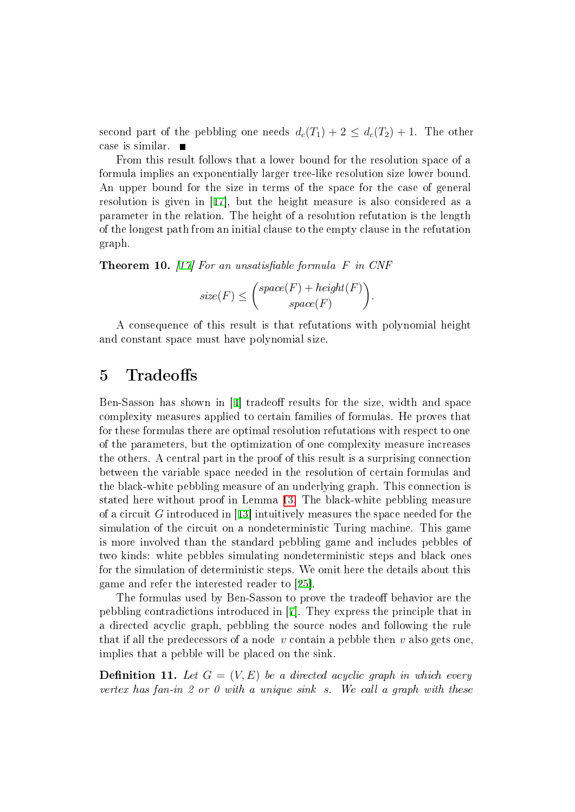second part of the pebbling one needs  $d_c(T_1) + 2 \leq d_c(T_2) + 1$ . The other case is similar.

From this result follows that a lower bound for the resolution space of a formula implies an exponentially larger tree-like resolution size lower bound. An upper bound for the size in terms of the space for the case of general resolution is given in [[17\]](#page-19-3), but the height measure is also considered as a parameter in the relation. The height of a resolution refutation is the length of the longest path from an initial clause to the empty clause in the refutation graph.

**Theorem 10.** [[17\]](#page-19-3) For an unsatisfiable formula  $F$  in CNF

$$
size(F) \leq {space(F) + height(F) \choose space(F)}.
$$

A consequence of this result is that refutations with polynomial height and constant space must have polynomial size.

# 5 Tradeoffs

Ben-Sasson has shown in  $[4]$  $[4]$  tradeoff results for the size, width and space complexity measures applied to certain families of formulas. He proves that for these formulas there are optimal resolution refutations with respect to one of the parameters, but the optimization of one complexity measure increases the others. A central part in the proof of this result is a surprising connection between the variable space needed in the resolution of certain formulas and the black-white pebbling measure of an underlying graph. This connection is stated here without proof in Lemma [13.](#page-11-0) The black-white pebbling measure of a circuit G introduced in [[13\]](#page-18-11) intuitively measures the space needed for the simulation of the circuit on a nondeterministic Turing machine. This game is more involved than the standard pebbling game and includes pebbles of two kinds: white pebbles simulating nondeterministic steps and black ones for the simulation of deterministic steps. We omit here the details about this game and refer the interested reader to [[25\]](#page-19-12).

The formulas used by Ben-Sasson to prove the tradeoff behavior are the pebbling contradictions introduced in [[7\]](#page-18-3). They express the principle that in a directed acyclic graph, pebbling the source nodes and following the rule that if all the predecessors of a node v contain a pebble then v also gets one, implies that a pebble will be placed on the sink.

<span id="page-9-0"></span>**Definition 11.** Let  $G = (V, E)$  be a directed acyclic graph in which every vertex has fan-in 2 or 0 with a unique sink s. We call a graph with these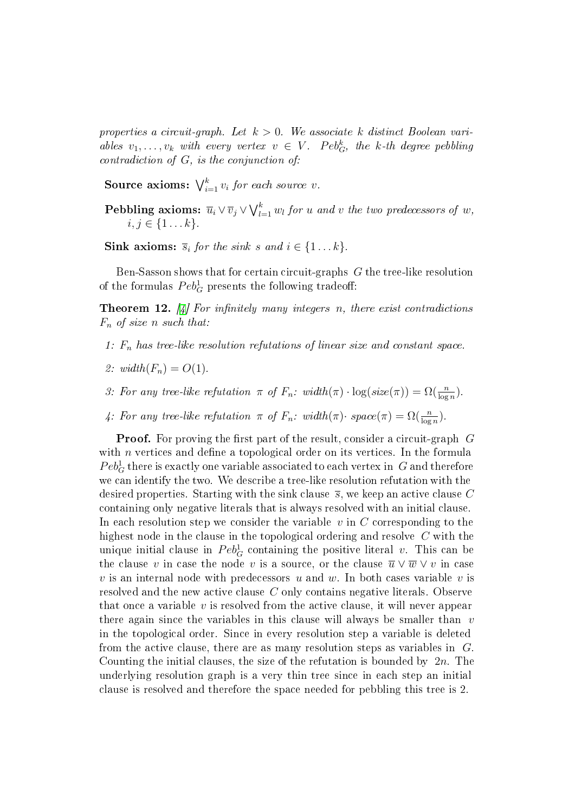properties a circuit-graph. Let  $k > 0$ . We associate k distinct Boolean variables  $v_1, \ldots, v_k$  with every vertex  $v \in V$ . Peb<sub>G</sub>, the k-th degree pebbling contradiction of G, is the conjunction of:

Source axioms:  $\bigvee_{i=1}^{k} v_i$  for each source v.

Pebbling axioms:  $\overline{u}_i \vee \overline{v}_j \vee \bigvee_{l=1}^k w_l$  for u and v the two predecessors of w,  $i, j \in \{1...k\}.$ 

Sink axioms:  $\overline{s}_i$  for the sink s and  $i \in \{1...k\}$ .

Ben-Sasson shows that for certain circuit-graphs G the tree-like resolution of the formulas  $Peb_G^1$  presents the following tradeoff:

<span id="page-10-0"></span>**Theorem 12.** [\[4](#page-18-10)] For infinitely many integers n, there exist contradictions  $F_n$  of size n such that:

- 1:  $F_n$  has tree-like resolution refutations of linear size and constant space.
- 2:  $width(F_n) = O(1)$ .
- 3: For any tree-like refutation  $\pi$  of  $F_n$ : width $(\pi) \cdot \log(size(\pi)) = \Omega(\frac{n}{\log n})$ .
- 4: For any tree-like refutation  $\pi$  of  $F_n$ : width $(\pi)$ · space $(\pi) = \Omega(\frac{n}{\log n})$ .

**Proof.** For proving the first part of the result, consider a circuit-graph  $G$ with  $n$  vertices and define a topological order on its vertices. In the formula  $Peb^1_G$  there is exactly one variable associated to each vertex in  $|G|$  and therefore we can identify the two. We describe a tree-like resolution refutation with the desired properties. Starting with the sink clause  $\bar{s}$ , we keep an active clause C containing only negative literals that is always resolved with an initial clause. In each resolution step we consider the variable  $v$  in  $C$  corresponding to the highest node in the clause in the topological ordering and resolve C with the unique initial clause in  $Peb_G^1$  containing the positive literal  $v$ . This can be the clause v in case the node v is a source, or the clause  $\overline{u} \vee \overline{w} \vee v$  in case v is an internal node with predecessors u and w. In both cases variable v is resolved and the new active clause C only contains negative literals. Observe that once a variable  $v$  is resolved from the active clause, it will never appear there again since the variables in this clause will always be smaller than  $v$ in the topological order. Since in every resolution step a variable is deleted from the active clause, there are as many resolution steps as variables in G. Counting the initial clauses, the size of the refutation is bounded by  $2n$ . The underlying resolution graph is a very thin tree since in each step an initial clause is resolved and therefore the space needed for pebbling this tree is 2.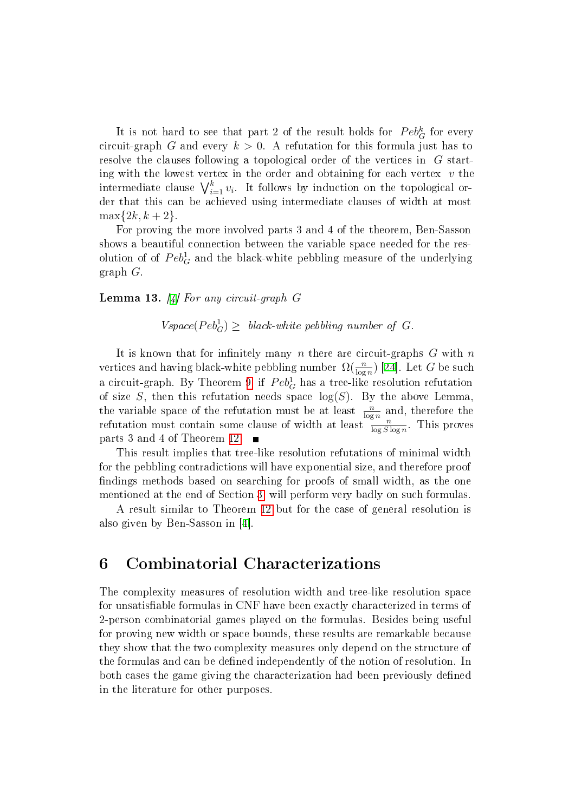It is not hard to see that part 2 of the result holds for  $Peb_G^k$  for every circuit-graph G and every  $k > 0$ . A refutation for this formula just has to resolve the clauses following a topological order of the vertices in G starting with the lowest vertex in the order and obtaining for each vertex  $v$  the intermediate clause  $\bigvee_{i=1}^{k} v_i$ . It follows by induction on the topological order that this can be achieved using intermediate clauses of width at most  $\max\{2k, k+2\}.$ 

For proving the more involved parts 3 and 4 of the theorem, Ben-Sasson shows a beautiful connection between the variable space needed for the resolution of of  $Peb^1_G$  and the black-white pebbling measure of the underlying graph G.

#### <span id="page-11-0"></span>**Lemma 13.** [\[4](#page-18-10)] For any circuit-graph  $G$

 $Vspace(Peb_G^1) \geq black\text{-}white\thinspace pebbling\thinspace number\thinspace of\thinspace G.$ 

It is known that for infinitely many n there are circuit-graphs  $G$  with  $n$ vertices and having black-white pebbling number  $\Omega(\frac{n}{\log n})$  [[24\]](#page-19-13). Let  $G$  be such a circuit-graph. By Theorem [9,](#page-8-1) if  $Peb_G^1$  has a tree-like resolution refutation of size  $S$ , then this refutation needs space  $log(S)$ . By the above Lemma, the variable space of the refutation must be at least  $\frac{n}{\log n}$  and, therefore the refutation must contain some clause of width at least  $\frac{1}{\log S \log n}$ . This proves parts 3 and 4 of Theorem [12.](#page-10-0)

This result implies that tree-like resolution refutations of minimal width for the pebbling contradictions will have exponential size, and therefore proof findings methods based on searching for proofs of small width, as the one mentioned at the end of Section [3,](#page-4-1) will perform very badly on such formulas.

A result similar to Theorem [12](#page-10-0) but for the case of general resolution is also given by Ben-Sasson in [[4\]](#page-18-10).

### 6 Combinatorial Characterizations

The complexity measures of resolution width and tree-like resolution space for unsatisable formulas in CNF have been exactly characterized in terms of 2-person combinatorial games played on the formulas. Besides being useful for proving new width or space bounds, these results are remarkable because they show that the two complexity measures only depend on the structure of the formulas and can be defined independently of the notion of resolution. In both cases the game giving the characterization had been previously defined in the literature for other purposes.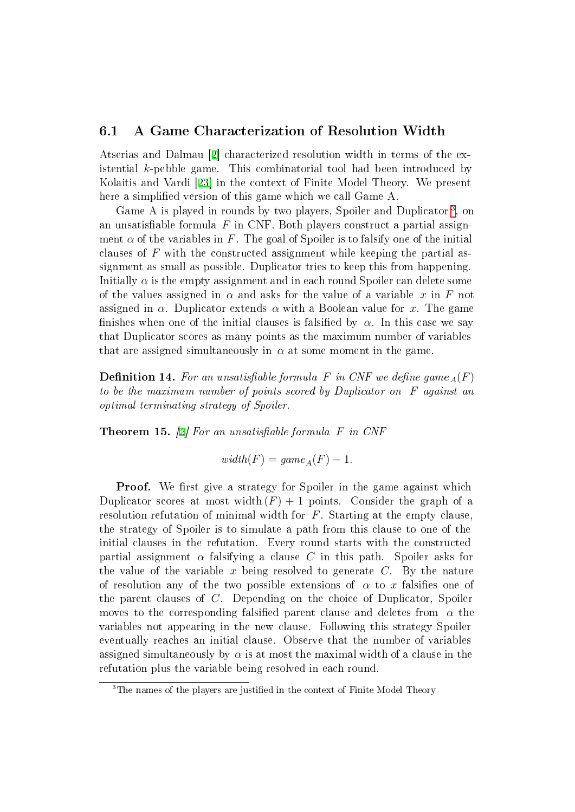### 6.1 A Game Characterization of Resolution Width

Atserias and Dalmau [[2\]](#page-18-12) characterized resolution width in terms of the existential k-pebble game. This combinatorial tool had been introduced by Kolaitis and Vardi [[23\]](#page-19-14) in the context of Finite Model Theory. We present here a simplified version of this game which we call Game A.

Game A is played in rounds by two players, Spoiler and Duplicator<sup>[3](#page-12-0)</sup>, on an unsatisfiable formula  $F$  in CNF. Both players construct a partial assignment  $\alpha$  of the variables in F. The goal of Spoiler is to falsify one of the initial clauses of  $F$  with the constructed assignment while keeping the partial assignment as small as possible. Duplicator tries to keep this from happening. Initially  $\alpha$  is the empty assignment and in each round Spoiler can delete some of the values assigned in  $\alpha$  and asks for the value of a variable x in F not assigned in  $\alpha$ . Duplicator extends  $\alpha$  with a Boolean value for x. The game finishes when one of the initial clauses is falsified by  $\alpha$ . In this case we say that Duplicator scores as many points as the maximum number of variables that are assigned simultaneously in  $\alpha$  at some moment in the game.

**Definition 14.** For an unsatisfiable formula F in CNF we define game  $_A(F)$ to be the maximum number of points scored by Duplicator on F against an optimal terminating strategy of Spoiler.

<span id="page-12-1"></span>**Theorem 15.** [[2\]](#page-18-12) For an unsatisfiable formula  $F$  in CNF

$$
width(F) = game_A(F) - 1.
$$

**Proof.** We first give a strategy for Spoiler in the game against which Duplicator scores at most width  $(F) + 1$  points. Consider the graph of a resolution refutation of minimal width for  $F$ . Starting at the empty clause the strategy of Spoiler is to simulate a path from this clause to one of the initial clauses in the refutation. Every round starts with the constructed partial assignment  $\alpha$  falsifying a clause C in this path. Spoiler asks for the value of the variable x being resolved to generate  $C$ . By the nature of resolution any of the two possible extensions of  $\alpha$  to x falsifies one of the parent clauses of C. Depending on the choice of Duplicator, Spoiler moves to the corresponding falsified parent clause and deletes from  $\alpha$  the variables not appearing in the new clause. Following this strategy Spoiler eventually reaches an initial clause. Observe that the number of variables assigned simultaneously by  $\alpha$  is at most the maximal width of a clause in the refutation plus the variable being resolved in each round.

<span id="page-12-0"></span><sup>&</sup>lt;sup>3</sup>The names of the players are justified in the context of Finite Model Theory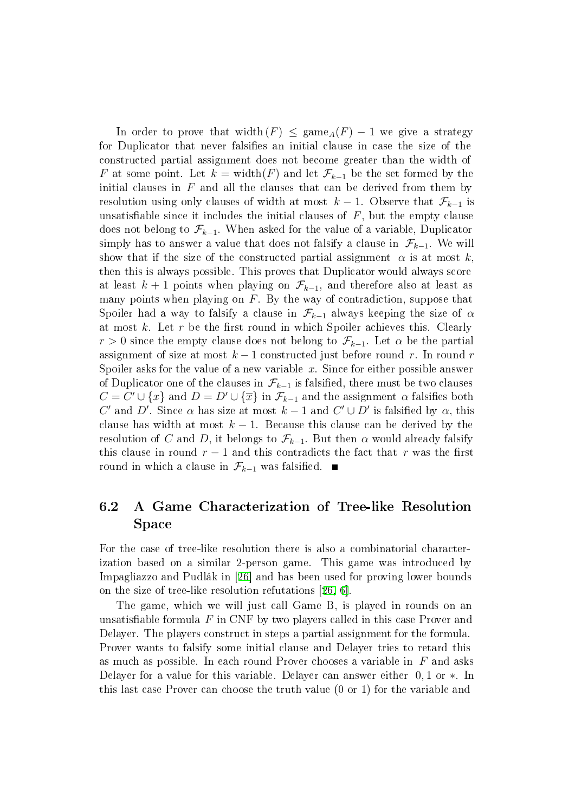In order to prove that width(F)  $\leq$  game<sub>A</sub>(F) – 1 we give a strategy for Duplicator that never falsifies an initial clause in case the size of the constructed partial assignment does not become greater than the width of F at some point. Let  $k = \text{width}(F)$  and let  $\mathcal{F}_{k-1}$  be the set formed by the initial clauses in  $F$  and all the clauses that can be derived from them by resolution using only clauses of width at most  $k-1$ . Observe that  $\mathcal{F}_{k-1}$  is unsatisfiable since it includes the initial clauses of  $F$ , but the empty clause does not belong to  $\mathcal{F}_{k-1}$ . When asked for the value of a variable, Duplicator simply has to answer a value that does not falsify a clause in  $\mathcal{F}_{k-1}$ . We will show that if the size of the constructed partial assignment  $\alpha$  is at most k, then this is always possible. This proves that Duplicator would always score at least  $k + 1$  points when playing on  $\mathcal{F}_{k-1}$ , and therefore also at least as many points when playing on  $F$ . By the way of contradiction, suppose that Spoiler had a way to falsify a clause in  $\mathcal{F}_{k-1}$  always keeping the size of  $\alpha$ at most  $k$ . Let  $r$  be the first round in which Spoiler achieves this. Clearly  $r > 0$  since the empty clause does not belong to  $\mathcal{F}_{k-1}$ . Let  $\alpha$  be the partial assignment of size at most  $k-1$  constructed just before round r. In round r Spoiler asks for the value of a new variable  $x$ . Since for either possible answer of Duplicator one of the clauses in  $\mathcal{F}_{k-1}$  is falsified, there must be two clauses  $C = C' \cup \{x\}$  and  $D = D' \cup \{\overline{x}\}\$ in  $\mathcal{F}_{k-1}$  and the assignment  $\alpha$  falsifies both C' and D'. Since  $\alpha$  has size at most  $k-1$  and  $C' \cup D'$  is falsified by  $\alpha$ , this clause has width at most  $k - 1$ . Because this clause can be derived by the resolution of C and D, it belongs to  $\mathcal{F}_{k-1}$ . But then  $\alpha$  would already falsify this clause in round  $r - 1$  and this contradicts the fact that r was the first round in which a clause in  $\mathcal{F}_{k-1}$  was falsified.  $\blacksquare$ 

### 6.2 A Game Characterization of Tree-like Resolution Space

For the case of tree-like resolution there is also a combinatorial characterization based on a similar 2-person game. This game was introduced by Impagliazzo and Pudlák in [[26\]](#page-19-15) and has been used for proving lower bounds on the size of tree-like resolution refutations [[26,](#page-19-15) [6\]](#page-18-6).

The game, which we will just call Game B, is played in rounds on an unsatisfiable formula  $F$  in CNF by two players called in this case Prover and Delayer. The players construct in steps a partial assignment for the formula. Prover wants to falsify some initial clause and Delayer tries to retard this as much as possible. In each round Prover chooses a variable in  $F$  and asks Delayer for a value for this variable. Delayer can answer either 0, 1 or ∗. In this last case Prover can choose the truth value (0 or 1) for the variable and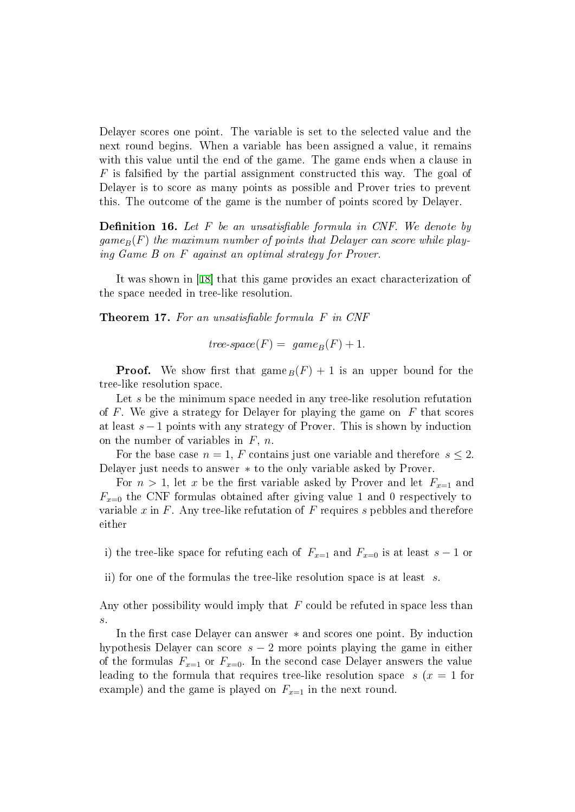Delayer scores one point. The variable is set to the selected value and the next round begins. When a variable has been assigned a value, it remains with this value until the end of the game. The game ends when a clause in  $F$  is falsified by the partial assignment constructed this way. The goal of Delayer is to score as many points as possible and Prover tries to prevent this. The outcome of the game is the number of points scored by Delayer.

**Definition 16.** Let  $F$  be an unsatisfiable formula in CNF. We denote by  $\eta_{\text{game}_B}(F)$  the maximum number of points that Delayer can score while playing Game B on F against an optimal strategy for Prover.

It was shown in [[18\]](#page-19-11) that this game provides an exact characterization of the space needed in tree-like resolution.

**Theorem 17.** For an unsatisfiable formula  $F$  in CNF

$$
tree-space(F) = \text{ game}_B(F) + 1.
$$

**Proof.** We show first that  $\text{game}_B(F) + 1$  is an upper bound for the tree-like resolution space.

Let s be the minimum space needed in any tree-like resolution refutation of F. We give a strategy for Delayer for playing the game on  $F$  that scores at least  $s - 1$  points with any strategy of Prover. This is shown by induction on the number of variables in  $F$ , n.

For the base case  $n = 1$ , F contains just one variable and therefore  $s \leq 2$ . Delayer just needs to answer ∗ to the only variable asked by Prover.

For  $n > 1$ , let x be the first variable asked by Prover and let  $F_{n=1}$  and  $F_{x=0}$  the CNF formulas obtained after giving value 1 and 0 respectively to variable x in  $F$ . Any tree-like refutation of  $F$  requires s pebbles and therefore either

i) the tree-like space for refuting each of  $F_{x=1}$  and  $F_{x=0}$  is at least s – 1 or

ii) for one of the formulas the tree-like resolution space is at least s.

Any other possibility would imply that  $F$  could be refuted in space less than s.

In the first case Delayer can answer ∗ and scores one point. By induction hypothesis Delayer can score  $s - 2$  more points playing the game in either of the formulas  $F_{x=1}$  or  $F_{x=0}$ . In the second case Delayer answers the value leading to the formula that requires tree-like resolution space  $s(x = 1)$  for example) and the game is played on  $F_{x=1}$  in the next round.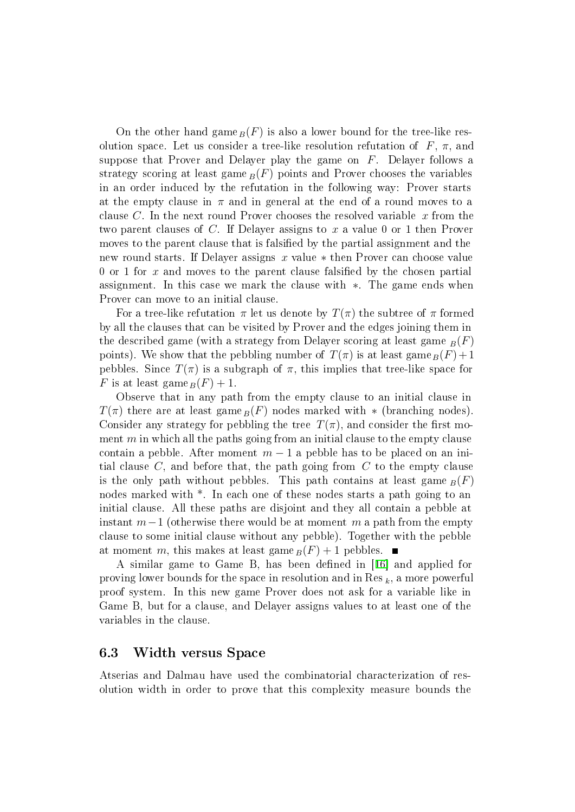On the other hand game  $_B(F)$  is also a lower bound for the tree-like resolution space. Let us consider a tree-like resolution refutation of  $F, \pi$ , and suppose that Prover and Delayer play the game on  $F$ . Delayer follows a strategy scoring at least game  $_B(F)$  points and Prover chooses the variables in an order induced by the refutation in the following way: Prover starts at the empty clause in  $\pi$  and in general at the end of a round moves to a clause C. In the next round Prover chooses the resolved variable  $x$  from the two parent clauses of C. If Delayer assigns to x a value 0 or 1 then Prover moves to the parent clause that is falsified by the partial assignment and the new round starts. If Delayer assigns x value ∗ then Prover can choose value 0 or 1 for  $x$  and moves to the parent clause falsified by the chosen partial assignment. In this case we mark the clause with ∗. The game ends when Prover can move to an initial clause.

For a tree-like refutation  $\pi$  let us denote by  $T(\pi)$  the subtree of  $\pi$  formed by all the clauses that can be visited by Prover and the edges joining them in the described game (with a strategy from Delayer scoring at least game  $_B(F)$ ) points). We show that the pebbling number of  $T(\pi)$  is at least game  $_B(F) + 1$ pebbles. Since  $T(\pi)$  is a subgraph of  $\pi$ , this implies that tree-like space for F is at least game  $_B(F) + 1$ .

Observe that in any path from the empty clause to an initial clause in  $T(\pi)$  there are at least game  $_B(F)$  nodes marked with  $*$  (branching nodes). Consider any strategy for pebbling the tree  $T(\pi)$ , and consider the first moment  $m$  in which all the paths going from an initial clause to the empty clause contain a pebble. After moment  $m-1$  a pebble has to be placed on an initial clause  $C$ , and before that, the path going from  $C$  to the empty clause is the only path without pebbles. This path contains at least game  $_B(F)$ nodes marked with  $*$ . In each one of these nodes starts a path going to an initial clause. All these paths are disjoint and they all contain a pebble at instant  $m-1$  (otherwise there would be at moment m a path from the empty clause to some initial clause without any pebble). Together with the pebble at moment m, this makes at least game  $_B(F) + 1$  pebbles.

A similar game to Game B, has been defined in [[16\]](#page-19-16) and applied for proving lower bounds for the space in resolution and in Res  $_k$ , a more powerful proof system. In this new game Prover does not ask for a variable like in Game B, but for a clause, and Delayer assigns values to at least one of the variables in the clause.

#### 6.3 Width versus Space

Atserias and Dalmau have used the combinatorial characterization of resolution width in order to prove that this complexity measure bounds the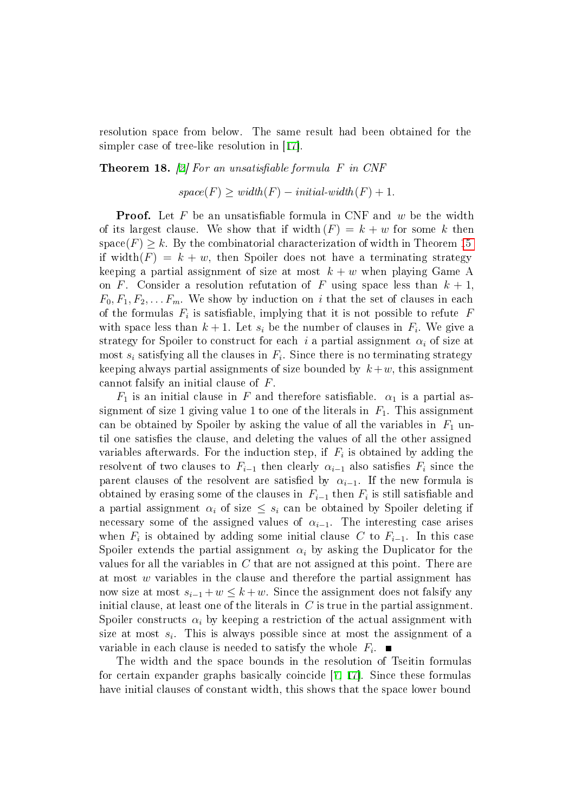resolution space from below. The same result had been obtained for the simpler case of tree-like resolution in [[17\]](#page-19-3).

#### <span id="page-16-0"></span>**Theorem 18.** [[2\]](#page-18-12) For an unsatisfiable formula  $F$  in CNF

$$
space(F) \geq width(F) - initial-width(F) + 1.
$$

**Proof.** Let F be an unsatisfiable formula in CNF and  $w$  be the width of its largest clause. We show that if width  $(F) = k + w$  for some k then space(F)  $\geq k$ . By the combinatorial characterization of width in Theorem [15](#page-12-1) if width(F) =  $k + w$ , then Spoiler does not have a terminating strategy keeping a partial assignment of size at most  $k + w$  when playing Game A on F. Consider a resolution refutation of F using space less than  $k + 1$ ,  $F_0, F_1, F_2, \ldots F_m$ . We show by induction on i that the set of clauses in each of the formulas  $F_i$  is satisfiable, implying that it is not possible to refute  $F$ with space less than  $k + 1$ . Let  $s_i$  be the number of clauses in  $F_i$ . We give a strategy for Spoiler to construct for each i a partial assignment  $\alpha_i$  of size at most  $s_i$  satisfying all the clauses in  $F_i$ . Since there is no terminating strategy keeping always partial assignments of size bounded by  $k+w$ , this assignment cannot falsify an initial clause of F.

 $F_1$  is an initial clause in F and therefore satisfiable.  $\alpha_1$  is a partial assignment of size 1 giving value 1 to one of the literals in  $F_1$ . This assignment can be obtained by Spoiler by asking the value of all the variables in  $F_1$  until one satisfies the clause, and deleting the values of all the other assigned variables afterwards. For the induction step, if  $F_i$  is obtained by adding the resolvent of two clauses to  $F_{i-1}$  then clearly  $\alpha_{i-1}$  also satisfies  $F_i$  since the parent clauses of the resolvent are satisfied by  $\alpha_{i-1}$ . If the new formula is obtained by erasing some of the clauses in  $F_{i-1}$  then  $F_i$  is still satisfiable and a partial assignment  $\alpha_i$  of size  $\leq s_i$  can be obtained by Spoiler deleting if necessary some of the assigned values of  $\alpha_{i-1}$ . The interesting case arises when  $F_i$  is obtained by adding some initial clause C to  $F_{i-1}$ . In this case Spoiler extends the partial assignment  $\alpha_i$  by asking the Duplicator for the values for all the variables in C that are not assigned at this point. There are at most w variables in the clause and therefore the partial assignment has now size at most  $s_{i-1} + w \leq k + w$ . Since the assignment does not falsify any initial clause, at least one of the literals in  $C$  is true in the partial assignment. Spoiler constructs  $\alpha_i$  by keeping a restriction of the actual assignment with size at most  $s_i$ . This is always possible since at most the assignment of a variable in each clause is needed to satisfy the whole  $F_i$ .

The width and the space bounds in the resolution of Tseitin formulas for certain expander graphs basically coincide [[7,](#page-18-3) [17\]](#page-19-3). Since these formulas have initial clauses of constant width, this shows that the space lower bound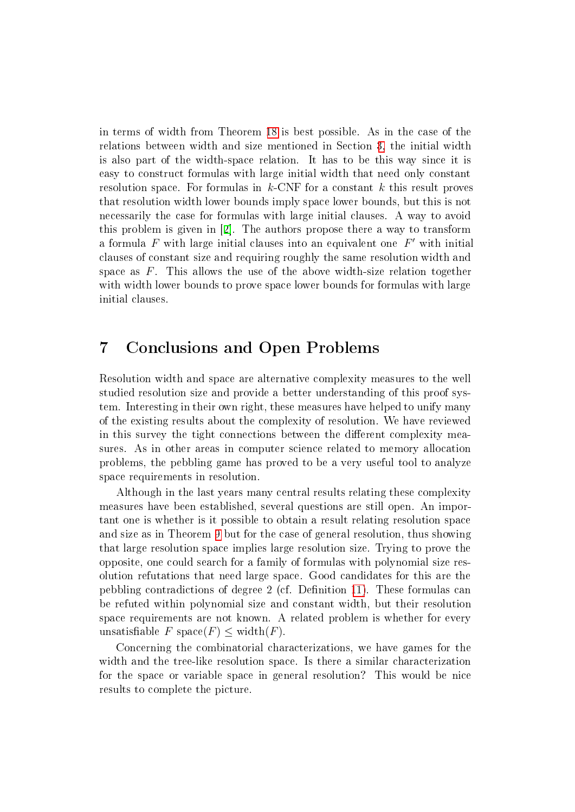in terms of width from Theorem [18](#page-16-0) is best possible. As in the case of the relations between width and size mentioned in Section [3,](#page-4-1) the initial width is also part of the width-space relation. It has to be this way since it is easy to construct formulas with large initial width that need only constant resolution space. For formulas in  $k$ -CNF for a constant k this result proves that resolution width lower bounds imply space lower bounds, but this is not necessarily the case for formulas with large initial clauses. A way to avoid this problem is given in [[2\]](#page-18-12). The authors propose there a way to transform a formula  $F$  with large initial clauses into an equivalent one  $F'$  with initial clauses of constant size and requiring roughly the same resolution width and space as  $F$ . This allows the use of the above width-size relation together with width lower bounds to prove space lower bounds for formulas with large initial clauses.

## 7 Conclusions and Open Problems

Resolution width and space are alternative complexity measures to the well studied resolution size and provide a better understanding of this proof system. Interesting in their own right, these measures have helped to unify many of the existing results about the complexity of resolution. We have reviewed in this survey the tight connections between the different complexity measures. As in other areas in computer science related to memory allocation problems, the pebbling game has proved to be a very useful tool to analyze space requirements in resolution.

Although in the last years many central results relating these complexity measures have been established, several questions are still open. An important one is whether is it possible to obtain a result relating resolution space and size as in Theorem [9](#page-8-1) but for the case of general resolution, thus showing that large resolution space implies large resolution size. Trying to prove the opposite, one could search for a family of formulas with polynomial size resolution refutations that need large space. Good candidates for this are the pebbling contradictions of degree 2 (cf. Definition [11\)](#page-9-0). These formulas can be refuted within polynomial size and constant width, but their resolution space requirements are not known. A related problem is whether for every unsatisfiable F space(F)  $\leq$  width(F).

Concerning the combinatorial characterizations, we have games for the width and the tree-like resolution space. Is there a similar characterization for the space or variable space in general resolution? This would be nice results to complete the picture.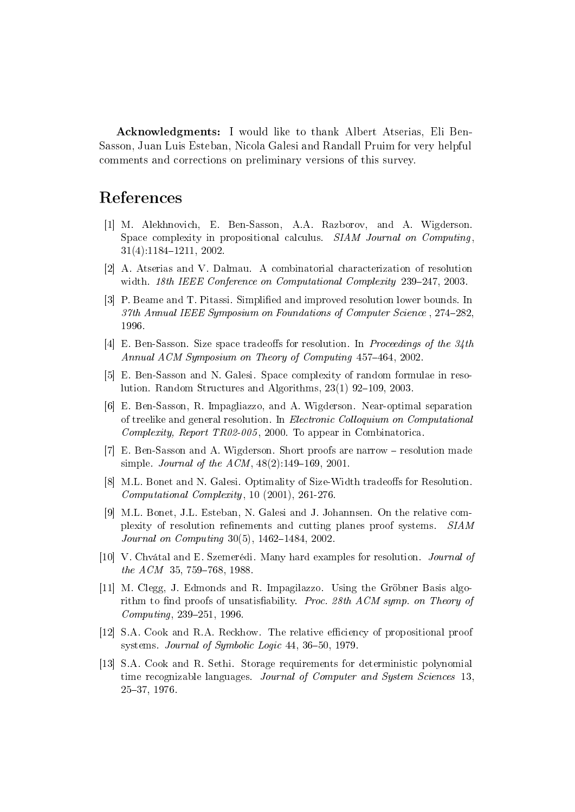Acknowledgments: I would like to thank Albert Atserias, Eli Ben-Sasson, Juan Luis Esteban, Nicola Galesi and Randall Pruim for very helpful comments and corrections on preliminary versions of this survey.

# References

- <span id="page-18-4"></span>[1] M. Alekhnovich, E. Ben-Sasson, A.A. Razborov, and A. Wigderson. Space complexity in propositional calculus. SIAM Journal on Computing,  $31(4):1184-1211$ , 2002.
- <span id="page-18-12"></span>[2] A. Atserias and V. Dalmau. A combinatorial characterization of resolution width. 18th IEEE Conference on Computational Complexity 239-247, 2003.
- <span id="page-18-2"></span>[3] P. Beame and T. Pitassi. Simplied and improved resolution lower bounds. In 37th Annual IEEE Symposium on Foundations of Computer Science, 274-282. 1996.
- <span id="page-18-10"></span>[4] E. Ben-Sasson. Size space tradeoffs for resolution. In *Proceedings of the 34th* Annual ACM Symposium on Theory of Computing 457-464, 2002.
- <span id="page-18-9"></span>[5] E. Ben-Sasson and N. Galesi. Space complexity of random formulae in resolution. Random Structures and Algorithms,  $23(1)$  92–109, 2003.
- <span id="page-18-6"></span>[6] E. Ben-Sasson, R. Impagliazzo, and A. Wigderson. Near-optimal separation of treelike and general resolution. In Electronic Colloquium on Computational Complexity, Report TR02-005, 2000. To appear in Combinatorica.
- <span id="page-18-3"></span>[7] E. Ben-Sasson and A. Wigderson. Short proofs are narrow – resolution made simple. Journal of the  $ACM$ ,  $48(2):149-169$ , 2001.
- <span id="page-18-8"></span>[8] M.L. Bonet and N. Galesi. Optimality of Size-Width tradeoffs for Resolution. Computational Complexity, 10 (2001), 261-276.
- <span id="page-18-5"></span>[9] M.L. Bonet, J.L. Esteban, N. Galesi and J. Johannsen. On the relative complexity of resolution refinements and cutting planes proof systems. SIAM *Journal on Computing*  $30(5)$ ,  $1462-1484$ ,  $2002$ .
- <span id="page-18-1"></span>[10] V. Chvátal and E. Szemerédi. Many hard examples for resolution. Journal of the  $ACM$  35, 759-768, 1988.
- <span id="page-18-7"></span>[11] M. Clegg, J. Edmonds and R. Impagilazzo. Using the Gröbner Basis algorithm to find proofs of unsatisfiability. Proc. 28th  $ACM$  symp. on Theory of  $Computing, 239-251, 1996.$
- <span id="page-18-0"></span>[12] S.A. Cook and R.A. Reckhow. The relative efficiency of propositional proof systems. Journal of Symbolic Logic  $44, 36-50, 1979$ .
- <span id="page-18-11"></span>[13] S.A. Cook and R. Sethi. Storage requirements for deterministic polynomial time recognizable languages. Journal of Computer and System Sciences 13. 2537, 1976.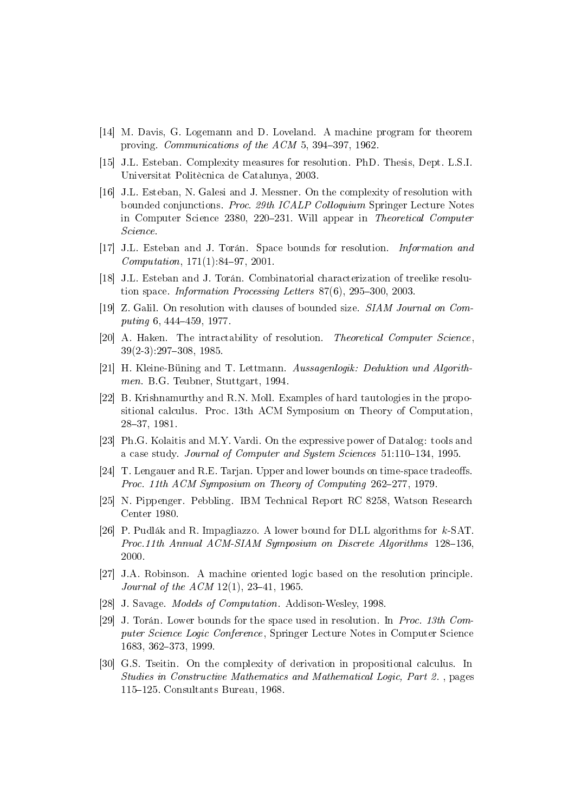- <span id="page-19-6"></span>[14] M. Davis, G. Logemann and D. Loveland. A machine program for theorem proving. *Communications of the ACM* 5,  $394-397$ ,  $1962$ .
- <span id="page-19-10"></span>[15] J.L. Esteban. Complexity measures for resolution. PhD. Thesis, Dept. L.S.I. Universitat Politècnica de Catalunya, 2003.
- <span id="page-19-16"></span>[16] J.L. Esteban, N. Galesi and J. Messner. On the complexity of resolution with bounded conjunctions. Proc. 29th ICALP Colloquium Springer Lecture Notes in Computer Science 2380, 220–231. Will appear in Theoretical Computer Science.
- <span id="page-19-3"></span>[17] J.L. Esteban and J. Torán. Space bounds for resolution. Information and  $Computation, 171(1):84-97, 2001.$
- <span id="page-19-11"></span>[18] J.L. Esteban and J. Torán. Combinatorial characterization of treelike resolution space. Information Processing Letters  $87(6)$ ,  $295-300$ ,  $2003$ .
- <span id="page-19-2"></span>[19] Z. Galil. On resolution with clauses of bounded size. SIAM Journal on Com $puting~6,~444–459,~1977.$
- <span id="page-19-1"></span>[20] A. Haken. The intractability of resolution. *Theoretical Computer Science*.  $39(2-3):297-308, 1985.$
- <span id="page-19-4"></span>[21] H. Kleine-Büning and T. Lettmann. Aussagenlogik: Deduktion und Algorithmen. B.G. Teubner, Stuttgart, 1994.
- <span id="page-19-5"></span>[22] B. Krishnamurthy and R.N. Moll. Examples of hard tautologies in the propositional calculus. Proc. 13th ACM Symposium on Theory of Computation, 28-37, 1981.
- <span id="page-19-14"></span>[23] Ph.G. Kolaitis and M.Y. Vardi. On the expressive power of Datalog: tools and a case study. Journal of Computer and System Sciences  $51:110-134$ , 1995.
- <span id="page-19-13"></span>[24]  $T.$  Lengauer and R.E. Tarjan. Upper and lower bounds on time-space tradeoffs. Proc. 11th  $ACM$  Symposium on Theory of Computing  $262-277$ , 1979.
- <span id="page-19-12"></span>[25] N. Pippenger. Pebbling. IBM Technical Report RC 8258, Watson Research Center 1980.
- <span id="page-19-15"></span>[26] P. Pudlák and R. Impagliazzo. A lower bound for DLL algorithms for k-SAT. Proc.11th Annual ACM-SIAM Symposium on Discrete Algorithms  $128-136$ , 2000.
- <span id="page-19-0"></span>[27] J.A. Robinson. A machine oriented logic based on the resolution principle. Journal of the  $ACM$  12(1), 23-41, 1965.
- <span id="page-19-8"></span>[28] J. Savage. Models of Computation. Addison-Wesley, 1998.
- <span id="page-19-9"></span>[29] J. Torán. Lower bounds for the space used in resolution. In Proc. 13th Computer Science Logic Conference , Springer Lecture Notes in Computer Science 1683, 362-373, 1999.
- <span id="page-19-7"></span>[30] G.S. Tseitin. On the complexity of derivation in propositional calculus. In Studies in Constructive Mathematics and Mathematical Logic, Part 2. , pages 115-125. Consultants Bureau, 1968.